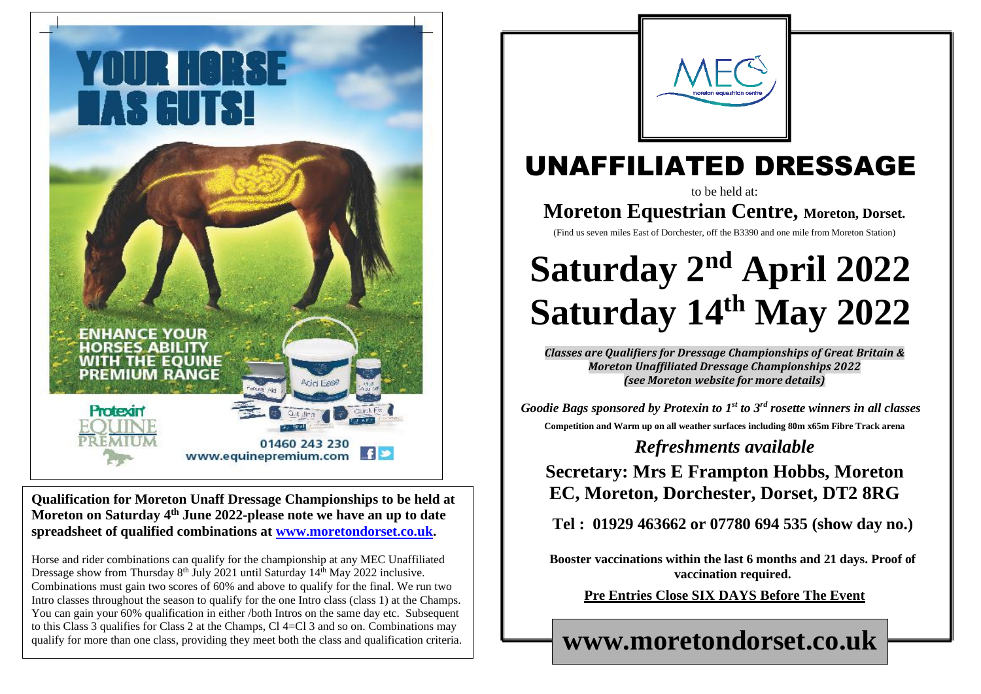

**Qualification for Moreton Unaff Dressage Championships to be held at Moreton on Saturday 4 th June 2022-please note we have an up to date spreadsheet of qualified combinations at [www.moretondorset.co.uk.](http://www.moretondorset.co.uk/)**

Horse and rider combinations can qualify for the championship at any MEC Unaffiliated Dressage show from Thursday 8<sup>th</sup> July 2021 until Saturday 14<sup>th</sup> May 2022 inclusive. Combinations must gain two scores of 60% and above to qualify for the final. We run two Intro classes throughout the season to qualify for the one Intro class (class 1) at the Champs. You can gain your 60% qualification in either /both Intros on the same day etc. Subsequent to this Class 3 qualifies for Class 2 at the Champs, Cl 4=Cl 3 and so on. Combinations may qualify for more than one class, providing they meet both the class and qualification criteria.



# UNAFFILIATED DRESSAGE

 $\parallel$ **u n**  $\mathbb{L}$  $\parallel$ **y 2 3**  $\mathsf{r}$ **d**  $\mathbf{I}$  $\parallel$  $\|$ **i l 2 0 0 6**

 $\mathsf{I}$ **u n**  $\parallel$  $\parallel$ **y 2**

to be held at:

**Moreton Equestrian Centre, Moreton, Dorset.**

(Find us seven miles East of Dorchester, off the B3390 and one mile from Moreton Station)

# **Saturday 2<sup>nd</sup> April 2022 Saturday 14th May 2022**

*Classes are Qualifiers for Dressage Championships of Great Britain & Moreton Unaffiliated Dressage Championships 2022 (see Moreton website for more details)*

*Goodie Bags sponsored by Protexin to 1st to 3rd rosette winners in all classes* **Competition and Warm up on all weather surfaces including 80m x65m Fibre Track arena**

### *Refreshments available*

#### **Secretary: Mrs E Frampton Hobbs, Moreton EC, Moreton, Dorchester, Dorset, DT2 8RG**

**Tel : 01929 463662 or 07780 694 535 (show day no.)**

**Booster vaccinations within the last 6 months and 21 days. Proof of vaccination required.**

**Pre Entries Close SIX DAYS Before The Event**

**www.moretondorset.co.uk**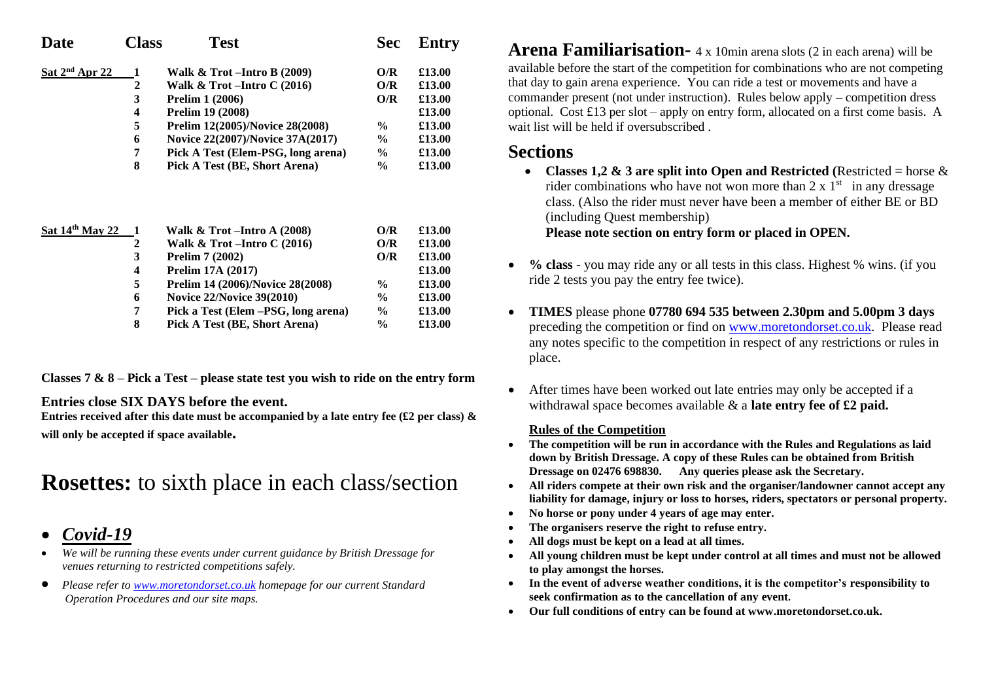| <b>Date</b>      | Class                   | <b>Test</b>                            | <b>Sec</b>    | <b>Entry</b> |
|------------------|-------------------------|----------------------------------------|---------------|--------------|
| Sat $2nd$ Apr 22 | 1                       | Walk $\&$ Trot – Intro B (2009)        | O/R           | £13.00       |
|                  | $\overline{2}$          | Walk & Trot-Intro $C(2016)$            | O/R           | £13.00       |
|                  | 3                       | <b>Prelim 1 (2006)</b>                 | O/R           | £13.00       |
|                  | $\overline{\mathbf{4}}$ | <b>Prelim 19 (2008)</b>                |               | £13.00       |
|                  | 5                       | <b>Prelim 12(2005)/Novice 28(2008)</b> | $\%$          | £13.00       |
|                  | 6                       | Novice 22(2007)/Novice 37A(2017)       | $\frac{6}{9}$ | £13.00       |
|                  | 7                       | Pick A Test (Elem-PSG, long arena)     | $\frac{6}{9}$ | £13.00       |
|                  | 8                       | Pick A Test (BE, Short Arena)          | $\%$          | £13.00       |
|                  |                         |                                        |               |              |
| Sat 14th May 22  | 1                       | Walk $\&$ Trot – Intro A (2008)        | O/R           | £13.00       |
|                  | 2                       | Walk & Trot $-$ Intro C (2016)         | O/R           | £13.00       |
|                  | 3                       | <b>Prelim 7 (2002)</b>                 | O/R           | £13.00       |
|                  | 4                       | <b>Prelim 17A (2017)</b>               |               | £13.00       |
|                  | 5                       | Prelim 14 (2006)/Novice 28(2008)       | $\frac{6}{9}$ | £13.00       |
|                  | 6                       | <b>Novice 22/Novice 39(2010)</b>       | $\frac{6}{9}$ | £13.00       |
|                  | 7                       | Pick a Test (Elem – PSG, long arena)   | $\frac{6}{9}$ | £13.00       |

 **8 Pick A Test (BE, Short Arena) % £13.00**

**Classes 7 & 8 – Pick a Test – please state test you wish to ride on the entry form**

**Entries close SIX DAYS before the event.**

**Entries received after this date must be accompanied by a late entry fee (£2 per class) & will only be accepted if space available.**

## **Rosettes:** to sixth place in each class/section

- *Covid-19*
- *We will be running these events under current guidance by British Dressage for venues returning to restricted competitions safely.*
- *Please refer to [www.moretondorset.co.uk](http://www.moretondorset.co.uk/) homepage for our current Standard Operation Procedures and our site maps.*

**Arena Familiarisation-** 4 x 10min arena slots (2 in each arena) will be available before the start of the competition for combinations who are not competing that day to gain arena experience. You can ride a test or movements and have a commander present (not under instruction). Rules below apply – competition dress optional. Cost £13 per slot – apply on entry form, allocated on a first come basis. A wait list will be held if oversubscribed

#### **Sections**

- **Classes 1,2 & 3** are split into Open and Restricted (Restricted = horse  $\&$ rider combinations who have not won more than  $2 \times 1$ <sup>st</sup> in any dressage class. (Also the rider must never have been a member of either BE or BD (including Quest membership) **Please note section on entry form or placed in OPEN.**
- **% class** you may ride any or all tests in this class. Highest % wins. (if you ride 2 tests you pay the entry fee twice).
- **TIMES** please phone **07780 694 535 between 2.30pm and 5.00pm 3 days**  preceding the competition or find on [www.moretondorset.co.uk.](http://www.moretondorset.co.uk/) Please read any notes specific to the competition in respect of any restrictions or rules in place.
- After times have been worked out late entries may only be accepted if a withdrawal space becomes available & a **late entry fee of £2 paid.**

#### **Rules of the Competition**

- **The competition will be run in accordance with the Rules and Regulations as laid down by British Dressage. A copy of these Rules can be obtained from British Dressage on 02476 698830. Any queries please ask the Secretary.**
- **All riders compete at their own risk and the organiser/landowner cannot accept any liability for damage, injury or loss to horses, riders, spectators or personal property.**
- **No horse or pony under 4 years of age may enter.**
- **The organisers reserve the right to refuse entry.**
- **All dogs must be kept on a lead at all times.**
- **All young children must be kept under control at all times and must not be allowed to play amongst the horses.**
- **In the event of adverse weather conditions, it is the competitor's responsibility to seek confirmation as to the cancellation of any event.**
- **Our full conditions of entry can be found at www.moretondorset.co.uk.**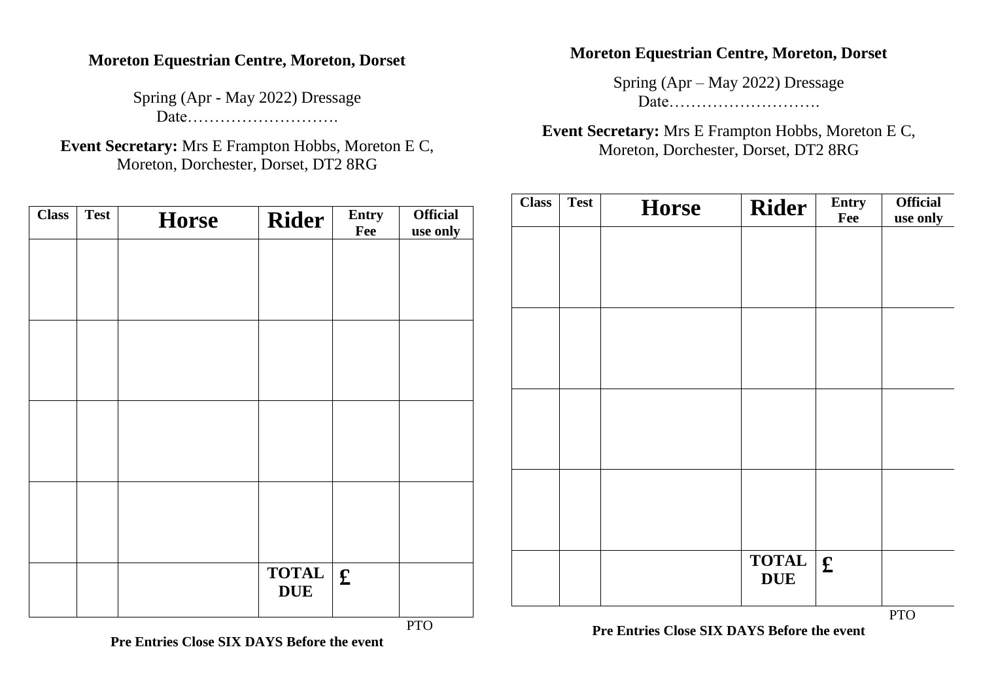#### **Moreton Equestrian Centre, Moreton, Dorset**

Spring (Apr - May 2022) Dressage Date……………………….

**Event Secretary:** Mrs E Frampton Hobbs, Moreton E C, Moreton, Dorchester, Dorset, DT2 8RG

| <b>Class</b> | <b>Test</b> | <b>Horse</b> | <b>Rider</b> | Entry<br>Fee | <b>Official</b><br>use only |
|--------------|-------------|--------------|--------------|--------------|-----------------------------|
|              |             |              |              |              |                             |
|              |             |              |              |              |                             |
|              |             |              |              |              |                             |
|              |             |              |              |              |                             |
|              |             |              |              |              |                             |
|              |             |              |              |              |                             |
|              |             |              |              |              |                             |
|              |             |              |              |              |                             |
|              |             |              |              |              |                             |
|              |             |              | <b>TOTAL</b> |              |                             |
|              |             |              | <b>DUE</b>   | $\mathbf f$  |                             |
|              |             |              |              |              | <b>PTO</b>                  |

#### **Pre Entries Close SIX DAYS Before the event**

#### **Moreton Equestrian Centre, Moreton, Dorset**

Spring (Apr – May 2022) Dressage Date……………………….

**Event Secretary:** Mrs E Frampton Hobbs, Moreton E C, Moreton, Dorchester, Dorset, DT2 8RG

| <b>Class</b> | <b>Test</b> | <b>Horse</b> | <b>Rider</b> | Entry<br>Fee | <b>Official</b><br>use only |
|--------------|-------------|--------------|--------------|--------------|-----------------------------|
|              |             |              |              |              |                             |
|              |             |              |              |              |                             |
|              |             |              |              |              |                             |
|              |             |              |              |              |                             |
|              |             |              |              |              |                             |
|              |             |              |              |              |                             |
|              |             |              |              |              |                             |
|              |             |              |              |              |                             |
|              |             |              |              |              |                             |
|              |             |              | <b>TOTAL</b> | $\mathbf f$  |                             |
|              |             |              | <b>DUE</b>   |              |                             |

**Pre Entries Close SIX DAYS Before the event**

PTO